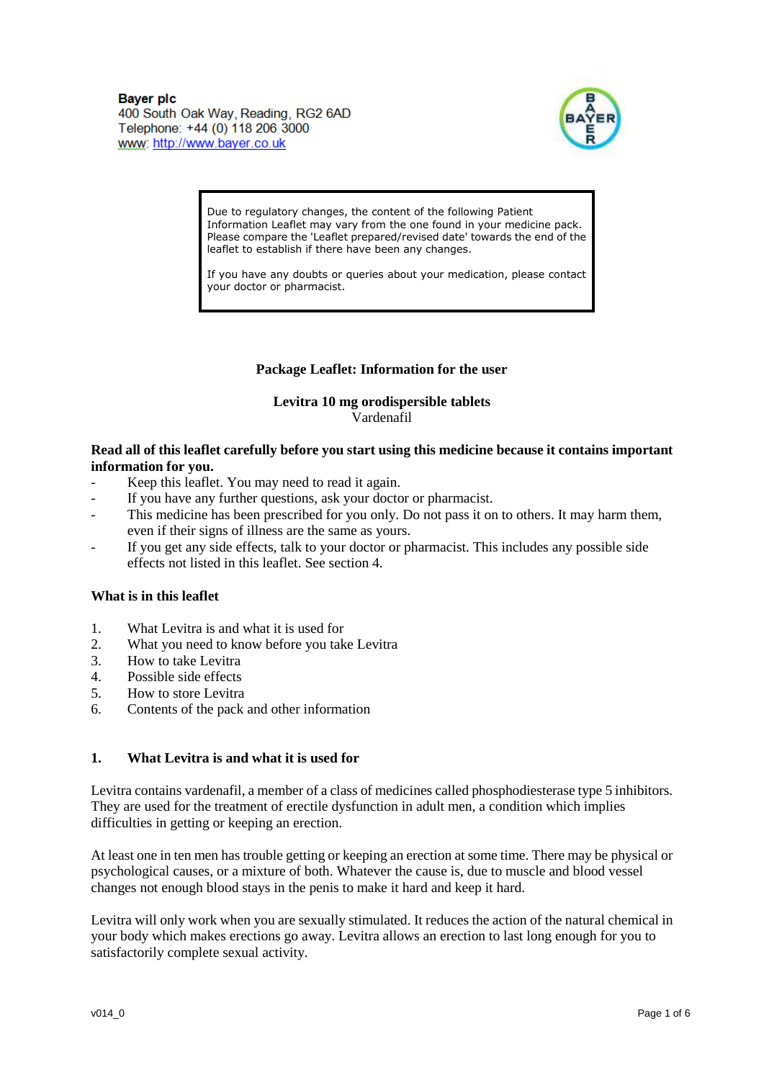

Due to regulatory changes, the content of the following Patient Information Leaflet may vary from the one found in your medicine pack. Please compare the 'Leaflet prepared/revised date' towards the end of the leaflet to establish if there have been any changes.

If you have any doubts or queries about your medication, please contact your doctor or pharmacist.

# **Package Leaflet: Information for the user**

#### **Levitra 10 mg orodispersible tablets** Vardenafil

#### **Read all of this leaflet carefully before you start using this medicine because it contains important information for you.**

- Keep this leaflet. You may need to read it again.
- If you have any further questions, ask your doctor or pharmacist.
- This medicine has been prescribed for you only. Do not pass it on to others. It may harm them, even if their signs of illness are the same as yours.
- If you get any side effects, talk to your doctor or pharmacist. This includes any possible side effects not listed in this leaflet. See section 4.

### **What is in this leaflet**

- 1. What Levitra is and what it is used for
- 2. What you need to know before you take Levitra
- 3. How to take Levitra
- 4. Possible side effects
- 5. How to store Levitra
- 6. Contents of the pack and other information

# **1. What Levitra is and what it is used for**

Levitra contains vardenafil, a member of a class of medicines called phosphodiesterase type 5 inhibitors. They are used for the treatment of erectile dysfunction in adult men, a condition which implies difficulties in getting or keeping an erection.

At least one in ten men has trouble getting or keeping an erection at some time. There may be physical or psychological causes, or a mixture of both. Whatever the cause is, due to muscle and blood vessel changes not enough blood stays in the penis to make it hard and keep it hard.

Levitra will only work when you are sexually stimulated. It reduces the action of the natural chemical in your body which makes erections go away. Levitra allows an erection to last long enough for you to satisfactorily complete sexual activity.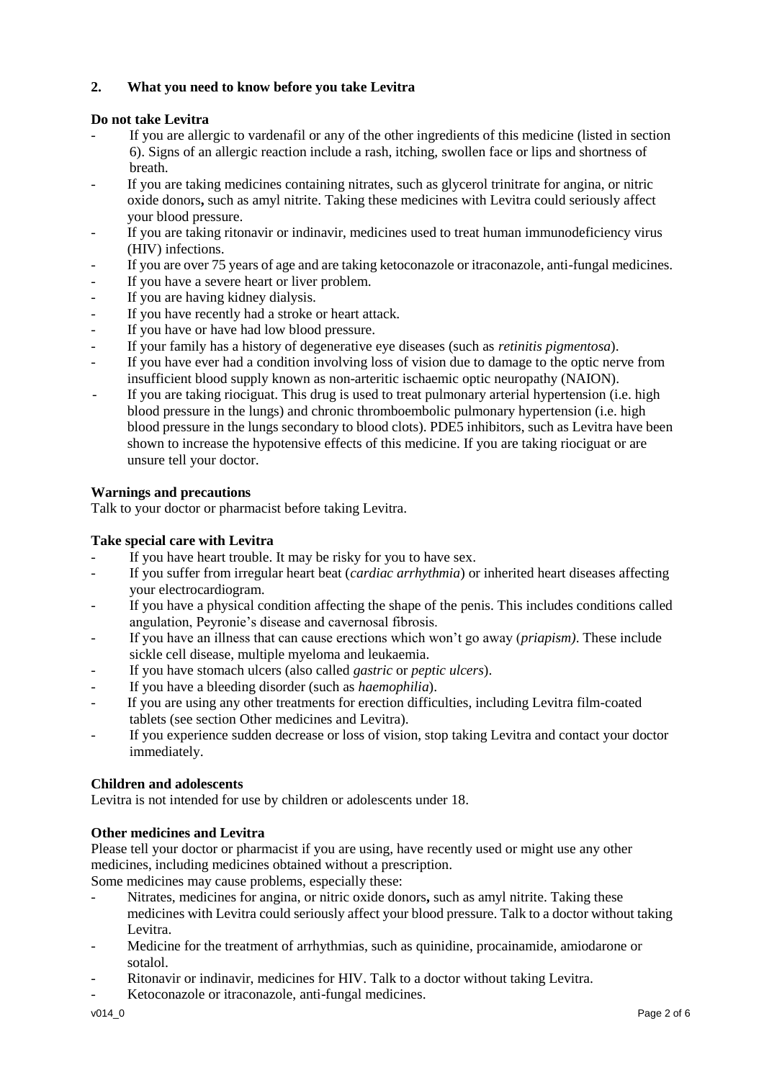# **2. What you need to know before you take Levitra**

# **Do not take Levitra**

- If you are allergic to vardenafil or any of the other ingredients of this medicine (listed in section 6). Signs of an allergic reaction include a rash, itching, swollen face or lips and shortness of breath.
- If you are taking medicines containing nitrates, such as glycerol trinitrate for angina, or nitric oxide donors**,** such as amyl nitrite. Taking these medicines with Levitra could seriously affect your blood pressure.
- If you are taking ritonavir or indinavir, medicines used to treat human immunodeficiency virus (HIV) infections.
- If you are over 75 years of age and are taking ketoconazole or itraconazole, anti-fungal medicines.
- If you have a severe heart or liver problem.
- If you are having kidney dialysis.
- If you have recently had a stroke or heart attack.
- If you have or have had low blood pressure.
- If your family has a history of degenerative eye diseases (such as *retinitis pigmentosa*).
- If you have ever had a condition involving loss of vision due to damage to the optic nerve from insufficient blood supply known as non-arteritic ischaemic optic neuropathy (NAION).
- If you are taking riociguat. This drug is used to treat pulmonary arterial hypertension (i.e. high blood pressure in the lungs) and chronic thromboembolic pulmonary hypertension (i.e. high blood pressure in the lungs secondary to blood clots). PDE5 inhibitors, such as Levitra have been shown to increase the hypotensive effects of this medicine. If you are taking riociguat or are unsure tell your doctor.

# **Warnings and precautions**

Talk to your doctor or pharmacist before taking Levitra.

# **Take special care with Levitra**

- If you have heart trouble. It may be risky for you to have sex.
- If you suffer from irregular heart beat (*cardiac arrhythmia*) or inherited heart diseases affecting your electrocardiogram.
- If you have a physical condition affecting the shape of the penis. This includes conditions called angulation, Peyronie's disease and cavernosal fibrosis.
- If you have an illness that can cause erections which won't go away (*priapism)*. These include sickle cell disease, multiple myeloma and leukaemia.
- If you have stomach ulcers (also called *gastric* or *peptic ulcers*).
- If you have a bleeding disorder (such as *haemophilia*).
- If you are using any other treatments for erection difficulties, including Levitra film-coated tablets (see section Other medicines and Levitra).
- If you experience sudden decrease or loss of vision, stop taking Levitra and contact your doctor immediately.

# **Children and adolescents**

Levitra is not intended for use by children or adolescents under 18.

# **Other medicines and Levitra**

Please tell your doctor or pharmacist if you are using, have recently used or might use any other medicines, including medicines obtained without a prescription.

Some medicines may cause problems, especially these:

- Nitrates, medicines for angina, or nitric oxide donors**,** such as amyl nitrite. Taking these medicines with Levitra could seriously affect your blood pressure. Talk to a doctor without taking Levitra.
- Medicine for the treatment of arrhythmias, such as quinidine, procainamide, amiodarone or sotalol.
- Ritonavir or indinavir, medicines for HIV. Talk to a doctor without taking Levitra.
- Ketoconazole or itraconazole, anti-fungal medicines.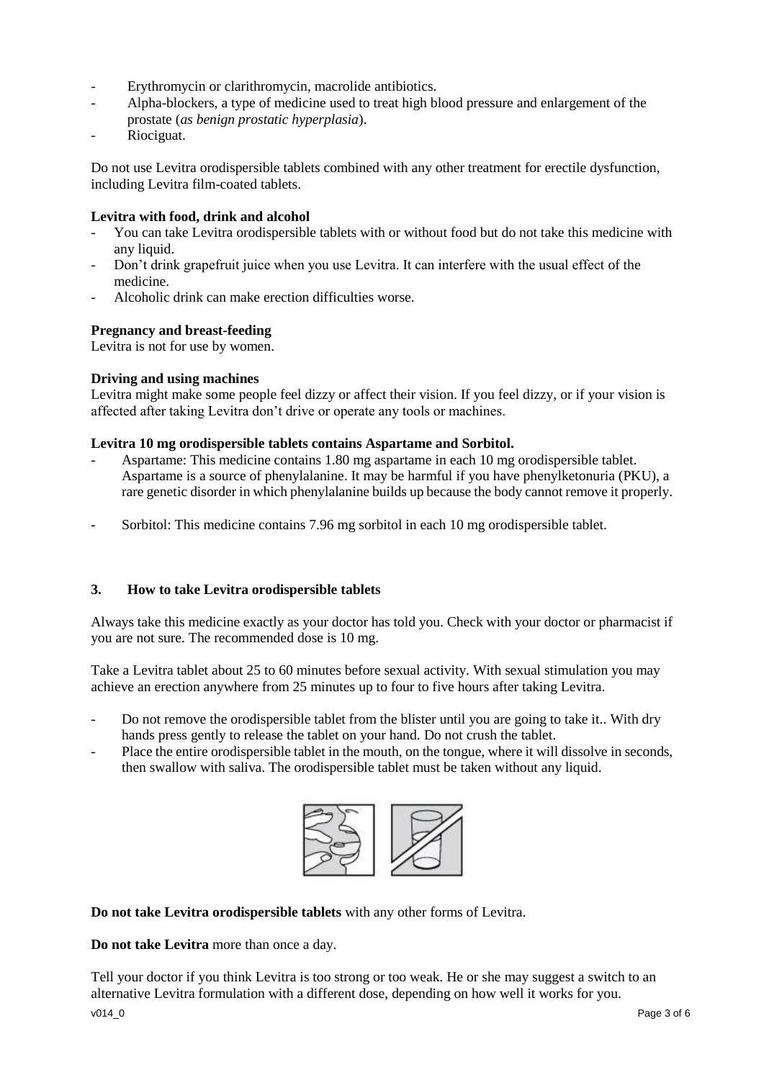- Erythromycin or clarithromycin, macrolide antibiotics.
- Alpha-blockers, a type of medicine used to treat high blood pressure and enlargement of the prostate (*as benign prostatic hyperplasia*).
- Riociguat.

Do not use Levitra orodispersible tablets combined with any other treatment for erectile dysfunction, including Levitra film-coated tablets.

### **Levitra with food, drink and alcohol**

- You can take Levitra orodispersible tablets with or without food but do not take this medicine with any liquid.
- Don't drink grapefruit juice when you use Levitra. It can interfere with the usual effect of the medicine.
- Alcoholic drink can make erection difficulties worse.

### **Pregnancy and breast-feeding**

Levitra is not for use by women.

#### **Driving and using machines**

Levitra might make some people feel dizzy or affect their vision. If you feel dizzy, or if your vision is affected after taking Levitra don't drive or operate any tools or machines.

#### **Levitra 10 mg orodispersible tablets contains Aspartame and Sorbitol.**

- Aspartame: This medicine contains 1.80 mg aspartame in each 10 mg orodispersible tablet. Aspartame is a source of phenylalanine. It may be harmful if you have phenylketonuria (PKU), a rare genetic disorder in which phenylalanine builds up because the body cannot remove it properly.
- Sorbitol: This medicine contains 7.96 mg sorbitol in each 10 mg orodispersible tablet.

#### **3. How to take Levitra orodispersible tablets**

Always take this medicine exactly as your doctor has told you. Check with your doctor or pharmacist if you are not sure. The recommended dose is 10 mg.

Take a Levitra tablet about 25 to 60 minutes before sexual activity. With sexual stimulation you may achieve an erection anywhere from 25 minutes up to four to five hours after taking Levitra.

- Do not remove the orodispersible tablet from the blister until you are going to take it.. With dry hands press gently to release the tablet on your hand. Do not crush the tablet.
- Place the entire orodispersible tablet in the mouth, on the tongue, where it will dissolve in seconds, then swallow with saliva. The orodispersible tablet must be taken without any liquid.



**Do not take Levitra orodispersible tablets** with any other forms of Levitra.

**Do not take Levitra** more than once a day.

v014\_0 Page 3 of 6 Tell your doctor if you think Levitra is too strong or too weak. He or she may suggest a switch to an alternative Levitra formulation with a different dose, depending on how well it works for you.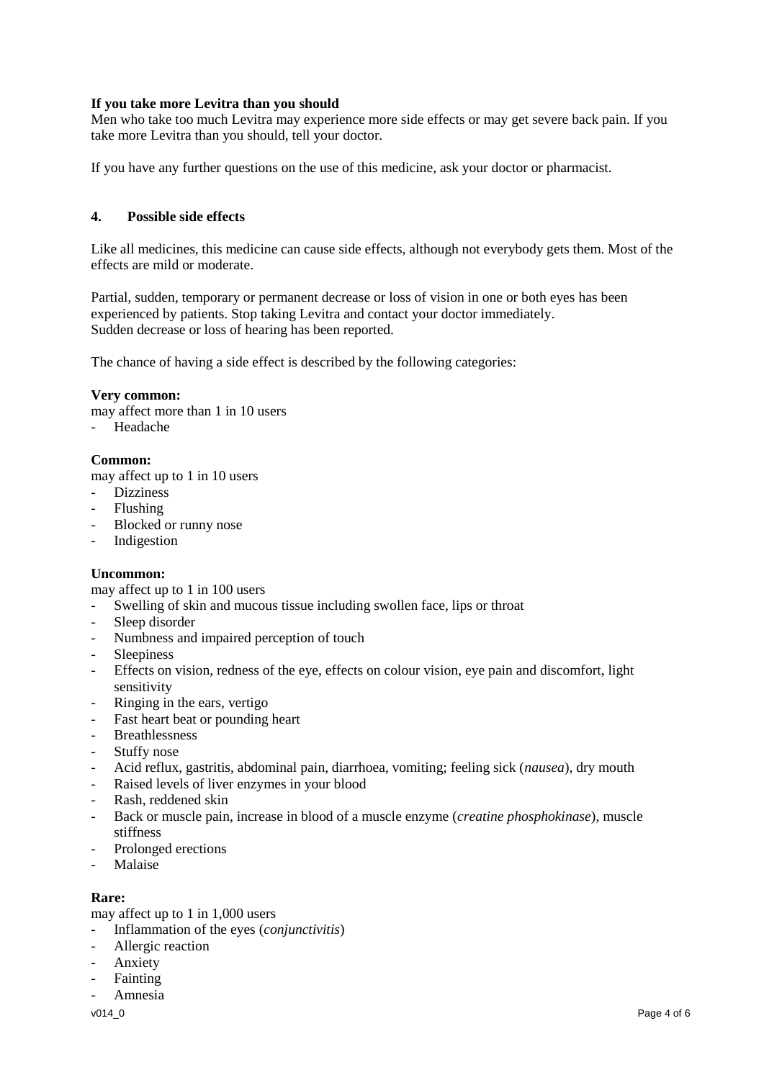### **If you take more Levitra than you should**

Men who take too much Levitra may experience more side effects or may get severe back pain. If you take more Levitra than you should, tell your doctor.

If you have any further questions on the use of this medicine, ask your doctor or pharmacist.

#### **4. Possible side effects**

Like all medicines, this medicine can cause side effects, although not everybody gets them. Most of the effects are mild or moderate.

Partial, sudden, temporary or permanent decrease or loss of vision in one or both eyes has been experienced by patients. Stop taking Levitra and contact your doctor immediately. Sudden decrease or loss of hearing has been reported.

The chance of having a side effect is described by the following categories:

#### **Very common:**

may affect more than 1 in 10 users

- Headache

#### **Common:**

may affect up to 1 in 10 users

- Dizziness
- Flushing
- Blocked or runny nose
- **Indigestion**

#### **Uncommon:**

may affect up to 1 in 100 users

- Swelling of skin and mucous tissue including swollen face, lips or throat
- Sleep disorder
- Numbness and impaired perception of touch
- **Sleepiness**
- Effects on vision, redness of the eye, effects on colour vision, eye pain and discomfort, light sensitivity
- Ringing in the ears, vertigo
- Fast heart beat or pounding heart
- **Breathlessness**
- Stuffy nose
- Acid reflux, gastritis, abdominal pain, diarrhoea, vomiting; feeling sick (*nausea*), dry mouth
- Raised levels of liver enzymes in your blood
- Rash, reddened skin
- Back or muscle pain, increase in blood of a muscle enzyme (*creatine phosphokinase*), muscle stiffness
- Prolonged erections
- Malaise

#### **Rare:**

may affect up to 1 in 1,000 users

- Inflammation of the eyes (*conjunctivitis*)
- Allergic reaction
- **Anxiety**
- **Fainting**
- Amnesia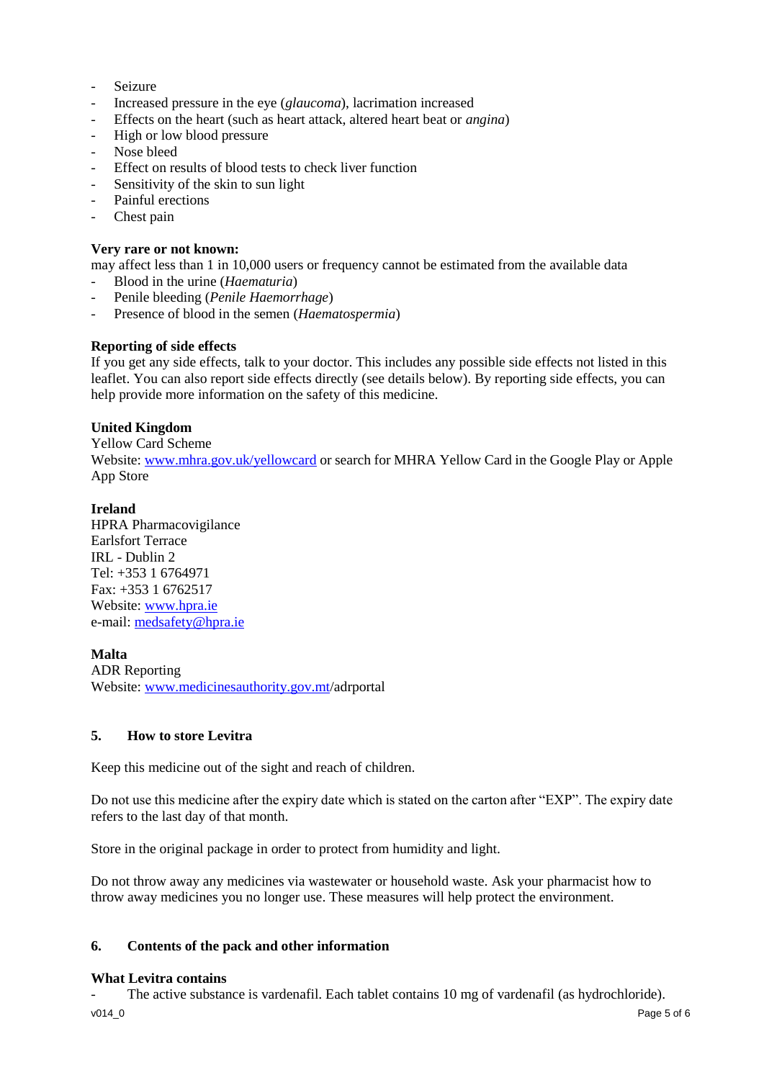- **Seizure**
- Increased pressure in the eye (*glaucoma*), lacrimation increased
- Effects on the heart (such as heart attack, altered heart beat or *angina*)
- High or low blood pressure
- Nose bleed
- Effect on results of blood tests to check liver function
- Sensitivity of the skin to sun light
- Painful erections
- Chest pain

#### **Very rare or not known:**

may affect less than 1 in 10,000 users or frequency cannot be estimated from the available data

- Blood in the urine (*Haematuria*)
- Penile bleeding (*Penile Haemorrhage*)
- Presence of blood in the semen (*Haematospermia*)

### **Reporting of side effects**

If you get any side effects, talk to your doctor. This includes any possible side effects not listed in this leaflet. You can also report side effects directly (see details below). By reporting side effects, you can help provide more information on the safety of this medicine.

### **United Kingdom**

Yellow Card Scheme Website[: www.mhra.gov.uk/yellowcard](http://www.mhra.gov.uk/yellowcard) or search for MHRA Yellow Card in the Google Play or Apple App Store

### **Ireland**

HPRA Pharmacovigilance Earlsfort Terrace IRL - Dublin 2 Tel: +353 1 6764971 Fax: +353 1 6762517 Website[: www.hpra.ie](http://www.hpra.ie/) e-mail: [medsafety@hpra.ie](mailto:medsafety@hpra.ie)

#### **Malta**

ADR Reporting Website[: www.medicinesauthority.gov.mt/](http://www.medicinesauthority.gov.mt/)adrportal

# **5. How to store Levitra**

Keep this medicine out of the sight and reach of children.

Do not use this medicine after the expiry date which is stated on the carton after "EXP". The expiry date refers to the last day of that month.

Store in the original package in order to protect from humidity and light.

Do not throw away any medicines via wastewater or household waste. Ask your pharmacist how to throw away medicines you no longer use. These measures will help protect the environment.

#### **6. Contents of the pack and other information**

#### **What Levitra contains**

v014\_0 Page 5 of 6 The active substance is vardenafil. Each tablet contains 10 mg of vardenafil (as hydrochloride).